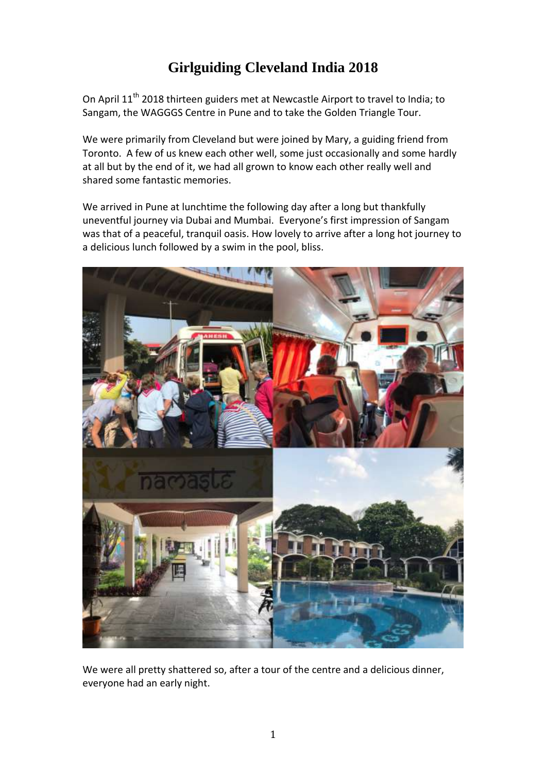## **Girlguiding Cleveland India 2018**

On April 11<sup>th</sup> 2018 thirteen guiders met at Newcastle Airport to travel to India; to Sangam, the WAGGGS Centre in Pune and to take the Golden Triangle Tour.

We were primarily from Cleveland but were joined by Mary, a guiding friend from Toronto. A few of us knew each other well, some just occasionally and some hardly at all but by the end of it, we had all grown to know each other really well and shared some fantastic memories.

We arrived in Pune at lunchtime the following day after a long but thankfully uneventful journey via Dubai and Mumbai. Everyone's first impression of Sangam was that of a peaceful, tranquil oasis. How lovely to arrive after a long hot journey to a delicious lunch followed by a swim in the pool, bliss.



We were all pretty shattered so, after a tour of the centre and a delicious dinner, everyone had an early night.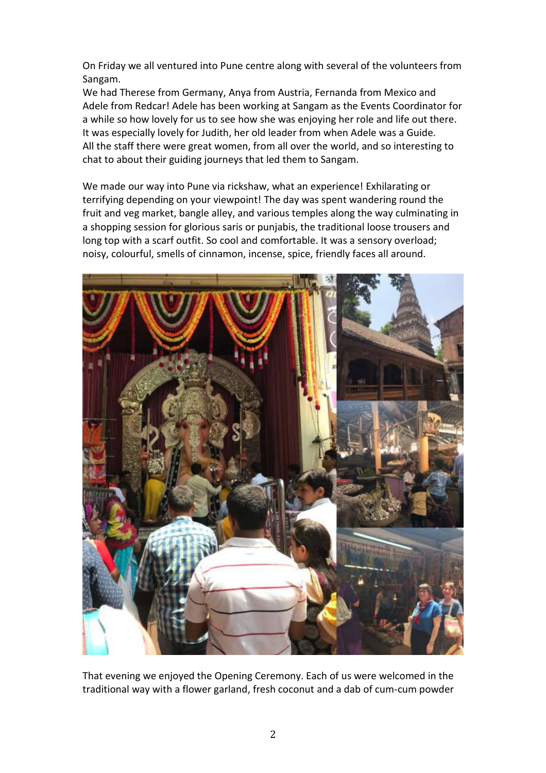On Friday we all ventured into Pune centre along with several of the volunteers from Sangam.

We had Therese from Germany, Anya from Austria, Fernanda from Mexico and Adele from Redcar! Adele has been working at Sangam as the Events Coordinator for a while so how lovely for us to see how she was enjoying her role and life out there. It was especially lovely for Judith, her old leader from when Adele was a Guide. All the staff there were great women, from all over the world, and so interesting to chat to about their guiding journeys that led them to Sangam.

We made our way into Pune via rickshaw, what an experience! Exhilarating or terrifying depending on your viewpoint! The day was spent wandering round the fruit and veg market, bangle alley, and various temples along the way culminating in a shopping session for glorious saris or punjabis, the traditional loose trousers and long top with a scarf outfit. So cool and comfortable. It was a sensory overload; noisy, colourful, smells of cinnamon, incense, spice, friendly faces all around.



That evening we enjoyed the Opening Ceremony. Each of us were welcomed in the traditional way with a flower garland, fresh coconut and a dab of cum-cum powder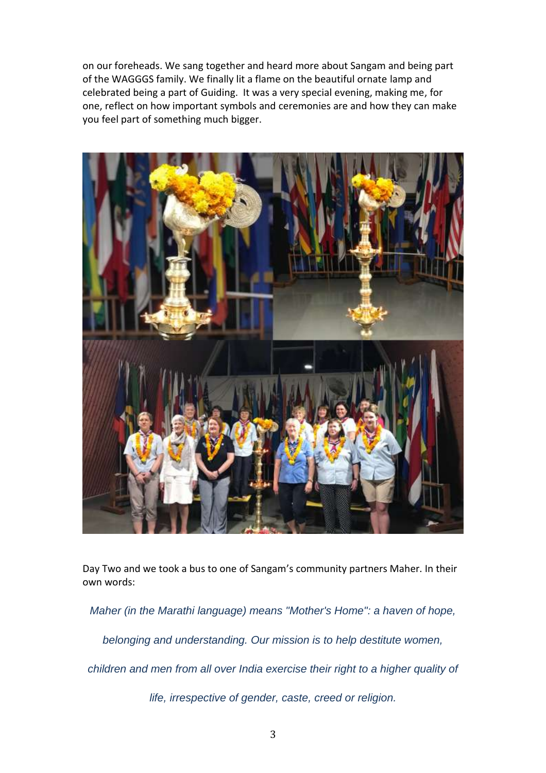on our foreheads. We sang together and heard more about Sangam and being part of the WAGGGS family. We finally lit a flame on the beautiful ornate lamp and celebrated being a part of Guiding. It was a very special evening, making me, for one, reflect on how important symbols and ceremonies are and how they can make you feel part of something much bigger.



Day Two and we took a bus to one of Sangam's community partners Maher. In their own words:

*Maher (in the Marathi language) means "Mother's Home": a haven of hope,* 

*belonging and understanding. Our mission is to help destitute women,* 

*children and men from all over India exercise their right to a higher quality of* 

*life, irrespective of gender, caste, creed or religion.*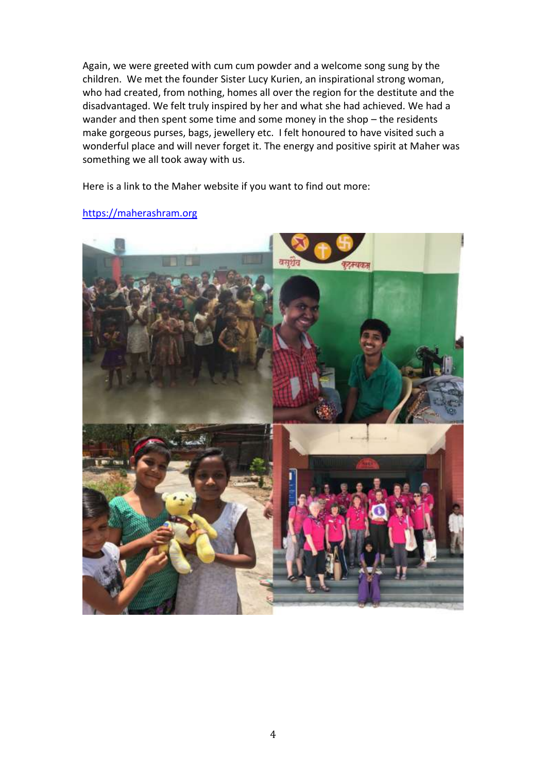Again, we were greeted with cum cum powder and a welcome song sung by the children. We met the founder Sister Lucy Kurien, an inspirational strong woman, who had created, from nothing, homes all over the region for the destitute and the disadvantaged. We felt truly inspired by her and what she had achieved. We had a wander and then spent some time and some money in the shop – the residents make gorgeous purses, bags, jewellery etc. I felt honoured to have visited such a wonderful place and will never forget it. The energy and positive spirit at Maher was something we all took away with us.

Here is a link to the Maher website if you want to find out more:



[https://maherashram.org](https://maherashram.org/)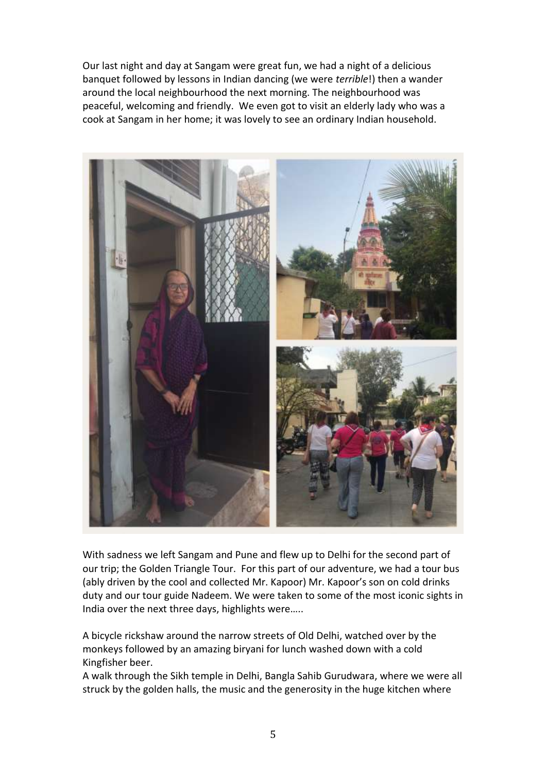Our last night and day at Sangam were great fun, we had a night of a delicious banquet followed by lessons in Indian dancing (we were *terrible*!) then a wander around the local neighbourhood the next morning. The neighbourhood was peaceful, welcoming and friendly. We even got to visit an elderly lady who was a cook at Sangam in her home; it was lovely to see an ordinary Indian household.



With sadness we left Sangam and Pune and flew up to Delhi for the second part of our trip; the Golden Triangle Tour. For this part of our adventure, we had a tour bus (ably driven by the cool and collected Mr. Kapoor) Mr. Kapoor's son on cold drinks duty and our tour guide Nadeem. We were taken to some of the most iconic sights in India over the next three days, highlights were…..

A bicycle rickshaw around the narrow streets of Old Delhi, watched over by the monkeys followed by an amazing biryani for lunch washed down with a cold Kingfisher beer.

A walk through the Sikh temple in Delhi, Bangla Sahib Gurudwara, where we were all struck by the golden halls, the music and the generosity in the huge kitchen where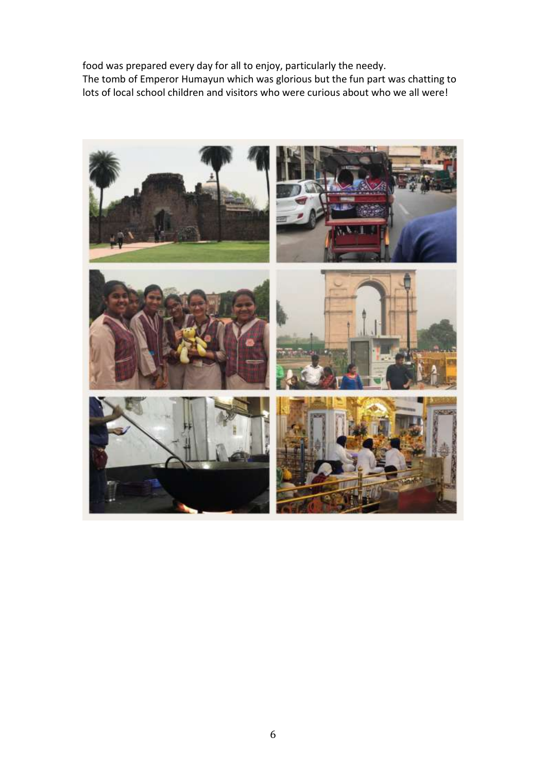food was prepared every day for all to enjoy, particularly the needy. The tomb of Emperor Humayun which was glorious but the fun part was chatting to lots of local school children and visitors who were curious about who we all were!

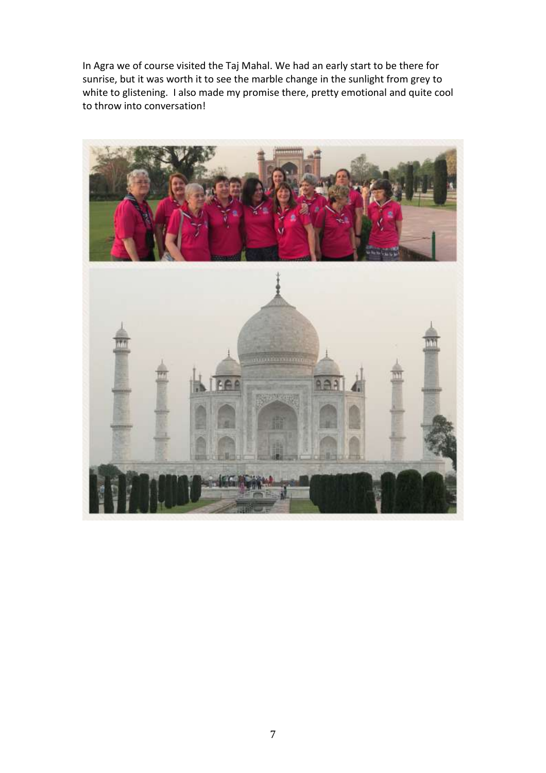In Agra we of course visited the Taj Mahal. We had an early start to be there for sunrise, but it was worth it to see the marble change in the sunlight from grey to white to glistening. I also made my promise there, pretty emotional and quite cool to throw into conversation!

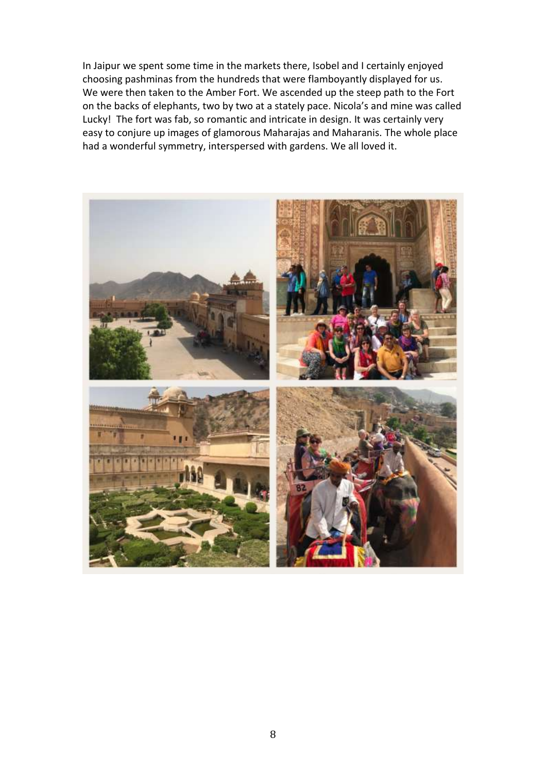In Jaipur we spent some time in the markets there, Isobel and I certainly enjoyed choosing pashminas from the hundreds that were flamboyantly displayed for us. We were then taken to the Amber Fort. We ascended up the steep path to the Fort on the backs of elephants, two by two at a stately pace. Nicola's and mine was called Lucky! The fort was fab, so romantic and intricate in design. It was certainly very easy to conjure up images of glamorous Maharajas and Maharanis. The whole place had a wonderful symmetry, interspersed with gardens. We all loved it.